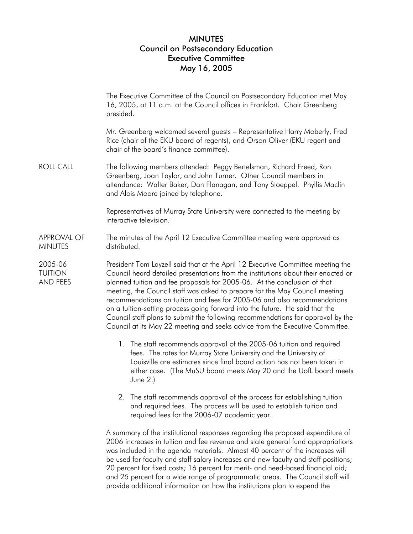## MINUTES Council on Postsecondary Education Executive Committee May 16, 2005

The Executive Committee of the Council on Postsecondary Education met May 16, 2005, at 11 a.m. at the Council offices in Frankfort. Chair Greenberg presided.

Mr. Greenberg welcomed several guests – Representative Harry Moberly, Fred Rice (chair of the EKU board of regents), and Orson Oliver (EKU regent and chair of the board's finance committee).

ROLL CALL The following members attended: Peggy Bertelsman, Richard Freed, Ron Greenberg, Joan Taylor, and John Turner. Other Council members in attendance: Walter Baker, Dan Flanagan, and Tony Stoeppel. Phyllis Maclin and Alois Moore joined by telephone.

> Representatives of Murray State University were connected to the meeting by interactive television.

APPROVAL OF **MINUTES** The minutes of the April 12 Executive Committee meeting were approved as distributed.

2005-06 **TUITION** AND FEES President Tom Layzell said that at the April 12 Executive Committee meeting the Council heard detailed presentations from the institutions about their enacted or planned tuition and fee proposals for 2005-06. At the conclusion of that meeting, the Council staff was asked to prepare for the May Council meeting recommendations on tuition and fees for 2005-06 and also recommendations on a tuition-setting process going forward into the future. He said that the Council staff plans to submit the following recommendations for approval by the Council at its May 22 meeting and seeks advice from the Executive Committee.

- 1. The staff recommends approval of the 2005-06 tuition and required fees. The rates for Murray State University and the University of Louisville are estimates since final board action has not been taken in either case. (The MuSU board meets May 20 and the UofL board meets June 2.)
- 2. The staff recommends approval of the process for establishing tuition and required fees. The process will be used to establish tuition and required fees for the 2006-07 academic year.

A summary of the institutional responses regarding the proposed expenditure of 2006 increases in tuition and fee revenue and state general fund appropriations was included in the agenda materials. Almost 40 percent of the increases will be used for faculty and staff salary increases and new faculty and staff positions; 20 percent for fixed costs; 16 percent for merit- and need-based financial aid; and 25 percent for a wide range of programmatic areas. The Council staff will provide additional information on how the institutions plan to expend the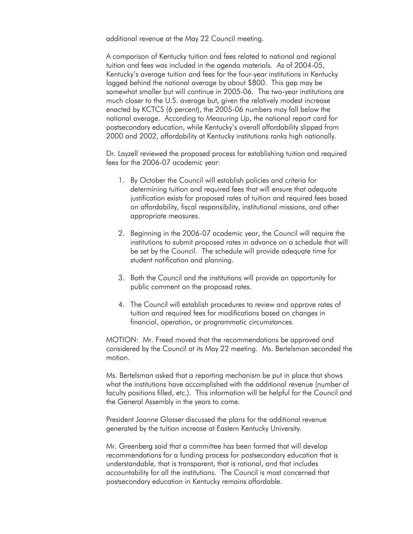additional revenue at the May 22 Council meeting.

A comparison of Kentucky tuition and fees related to national and regional tuition and fees was included in the agenda materials. As of 2004-05, Kentucky's average tuition and fees for the four-year institutions in Kentucky lagged behind the national average by about \$800. This gap may be somewhat smaller but will continue in 2005-06. The two-year institutions are much closer to the U.S. average but, given the relatively modest increase enacted by KCTCS (6 percent), the 2005-06 numbers may fall below the national average. According to *Measuring Up*, the national report card for postsecondary education, while Kentucky's overall affordability slipped from 2000 and 2002, affordability at Kentucky institutions ranks high nationally.

Dr. Layzell reviewed the proposed process for establishing tuition and required fees for the 2006-07 academic year:

- 1. By October the Council will establish policies and criteria for determining tuition and required fees that will ensure that adequate justification exists for proposed rates of tuition and required fees based on affordability, fiscal responsibility, institutional missions, and other appropriate measures.
- 2. Beginning in the 2006-07 academic year, the Council will require the institutions to submit proposed rates in advance on a schedule that will be set by the Council. The schedule will provide adequate time for student notification and planning.
- 3. Both the Council and the institutions will provide an opportunity for public comment on the proposed rates.
- 4. The Council will establish procedures to review and approve rates of tuition and required fees for modifications based on changes in financial, operation, or programmatic circumstances.

MOTION: Mr. Freed moved that the recommendations be approved and considered by the Council at its May 22 meeting. Ms. Bertelsman seconded the motion.

Ms. Bertelsman asked that a reporting mechanism be put in place that shows what the institutions have accomplished with the additional revenue (number of faculty positions filled, etc.). This information will be helpful for the Council and the General Assembly in the years to come.

President Joanne Glasser discussed the plans for the additional revenue generated by the tuition increase at Eastern Kentucky University.

Mr. Greenberg said that a committee has been formed that will develop recommendations for a funding process for postsecondary education that is understandable, that is transparent, that is rational, and that includes accountability for all the institutions. The Council is most concerned that postsecondary education in Kentucky remains affordable.